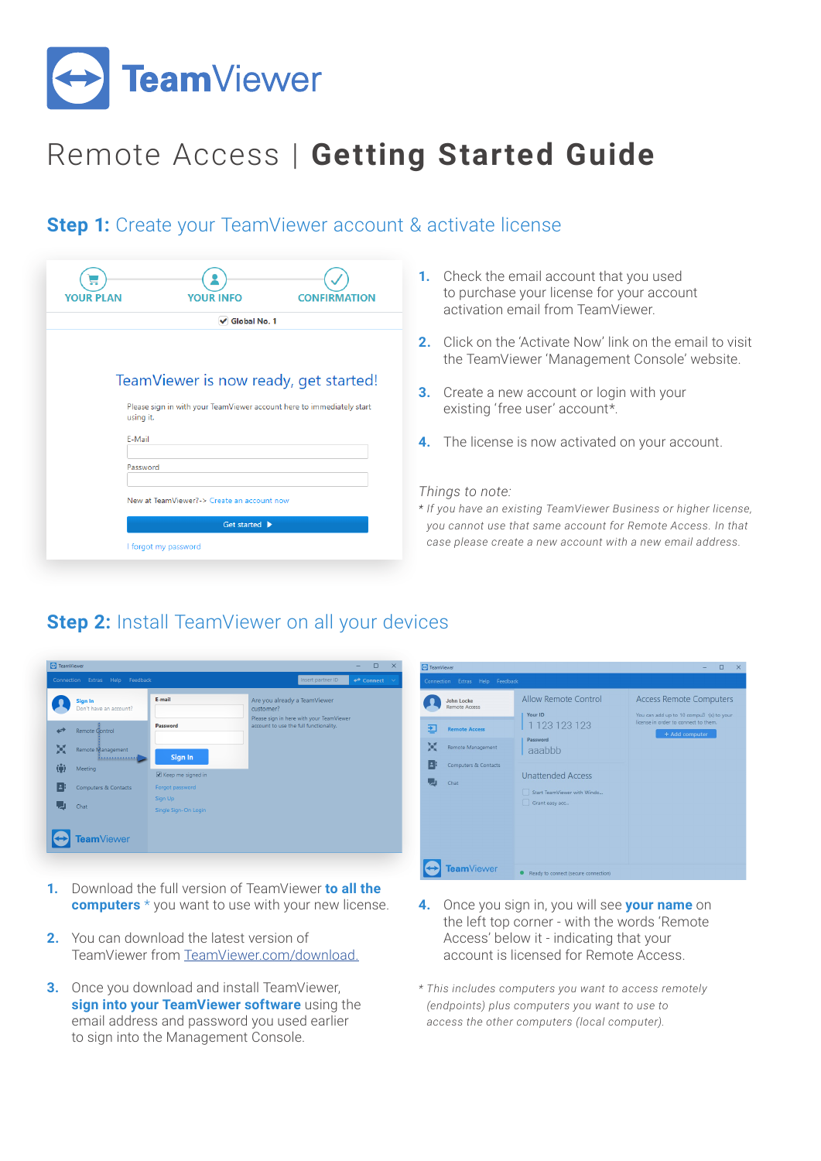

# Remote Access | **Getting Started Guide**

#### **Step 1:** Create your TeamViewer account & activate license

| <b>YOUR PLAN</b>                                                                                                                                  | <b>YOUR INFO</b>                           | <b>CONFIRMATION</b> |  |  |  |  |
|---------------------------------------------------------------------------------------------------------------------------------------------------|--------------------------------------------|---------------------|--|--|--|--|
| √ Global No. 1                                                                                                                                    |                                            |                     |  |  |  |  |
| TeamViewer is now ready, get started!<br>Please sign in with your TeamViewer account here to immediately start<br>using it.<br>E-Mail<br>Password |                                            |                     |  |  |  |  |
|                                                                                                                                                   | New at TeamViewer?-> Create an account now |                     |  |  |  |  |
|                                                                                                                                                   | Get started $\blacktriangleright$          |                     |  |  |  |  |
|                                                                                                                                                   | I forgot my password                       |                     |  |  |  |  |

- **1.** Check the email account that you used to purchase your license for your account activation email from TeamViewer.
- **2.** Click on the 'Activate Now' link on the email to visit the TeamViewer 'Management Console' website.
- **3.** Create a new account or login with your existing 'free user' account\*.
- **4.** The license is now activated on your account.

#### *Things to note:*

*\* If you have an existing TeamViewer Business or higher license, you cannot use that same account for Remote Access. In that case please create a new account with a new email address.* 

### **Step 2:** Install TeamViewer on all your devices

| TeamViewer                                                                              | $\times$<br>$\Box$<br>-                                                                                                         | TeamViewer                      |                                                                                                                                                                                                                                                       | $\Box$ $\times$<br>$-$                                                                                                              |
|-----------------------------------------------------------------------------------------|---------------------------------------------------------------------------------------------------------------------------------|---------------------------------|-------------------------------------------------------------------------------------------------------------------------------------------------------------------------------------------------------------------------------------------------------|-------------------------------------------------------------------------------------------------------------------------------------|
| Connection Extras Help Feedback                                                         | Insert partner ID<br>$\leftrightarrow$ Connect $\vee$                                                                           | Connection Extras Help Feedback |                                                                                                                                                                                                                                                       |                                                                                                                                     |
| E-mail<br>Sign In<br>Don't have an account?                                             | Are you already a TeamViewer<br>customer?<br>Please sign in here with your TeamViewer<br>account to use the full functionality. | John Locke<br>Remote Access     | Allow Remote Control<br>Your ID<br>1 123 123 123<br>国<br><b>Remote Access</b><br>Password<br>M<br>Remote Management<br>aaabbb<br>B<br>Computers & Contacts<br><b>Unattended Access</b><br>L.<br>Chat<br>Start TeamViewer with Windo<br>Grant easy acc | <b>Access Remote Computers</b><br>You can add up to 10 compu3 (s) to your<br>license in order to connect to them.<br>+ Add computer |
| Password<br>↫<br>Remote Control                                                         |                                                                                                                                 |                                 |                                                                                                                                                                                                                                                       |                                                                                                                                     |
| M<br>Remote Management<br>Sign In                                                       |                                                                                                                                 |                                 |                                                                                                                                                                                                                                                       |                                                                                                                                     |
| ίij<br>Meeting<br>Keep me signed in<br>EF                                               |                                                                                                                                 |                                 |                                                                                                                                                                                                                                                       |                                                                                                                                     |
| Computers & Contacts<br>Forgot password<br>Sign Up<br>Ы<br>Chat<br>Single Sign-On Login |                                                                                                                                 |                                 |                                                                                                                                                                                                                                                       |                                                                                                                                     |
| <b>Feam</b> Viewer                                                                      |                                                                                                                                 |                                 |                                                                                                                                                                                                                                                       |                                                                                                                                     |
|                                                                                         |                                                                                                                                 | $\overline{\phantom{a}}$        |                                                                                                                                                                                                                                                       |                                                                                                                                     |

- **1.** Download the full version of TeamViewer **to all the computers** \* you want to use with your new license.
- **2.** You can download the latest version of TeamViewer from [TeamViewer.com/download.](https://www.teamviewer.com/en/download/)
- **3.** Once you download and install TeamViewer, **sign into your TeamViewer software** using the email address and password you used earlier to sign into the Management Console.
- **4.** Once you sign in, you will see **your name** on the left top corner - with the words 'Remote Access' below it - indicating that your account is licensed for Remote Access.
- *\* This includes computers you want to access remotely (endpoints) plus computers you want to use to access the other computers (local computer).*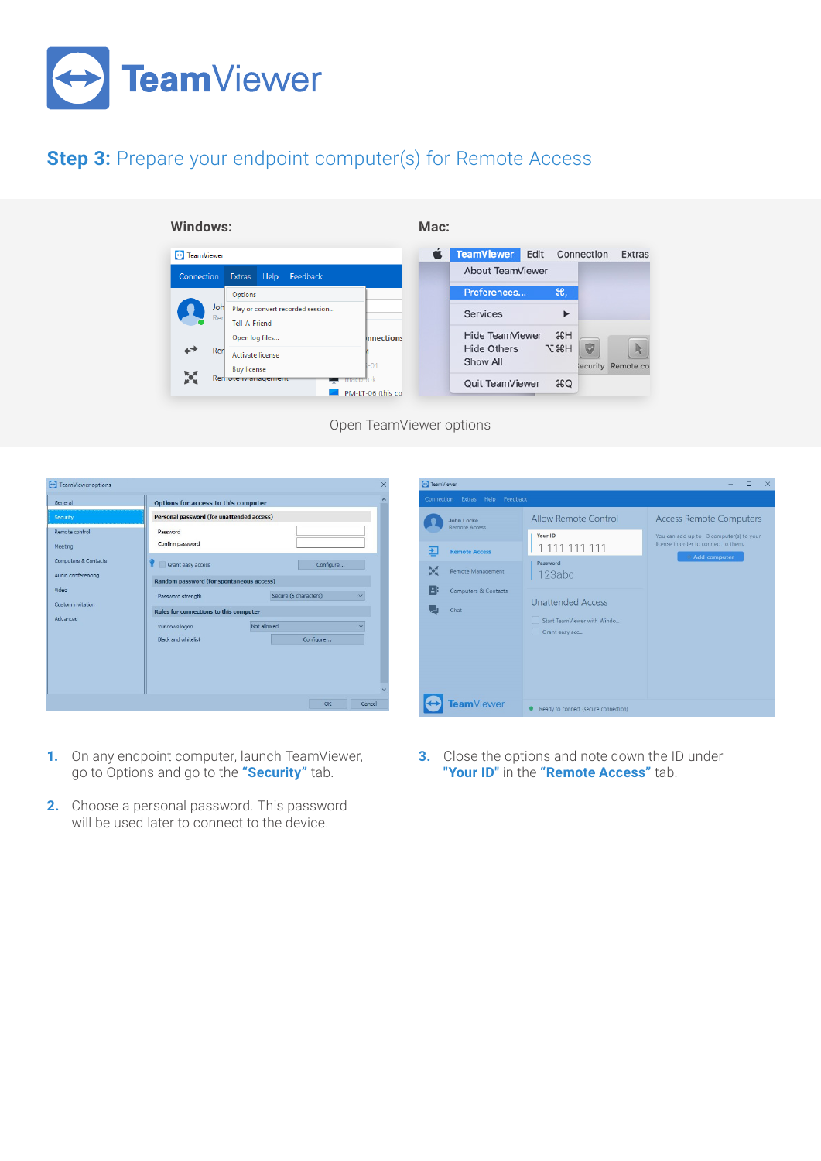

## **Step 3:** Prepare your endpoint computer(s) for Remote Access

**Windows:**

**Mac:**



Open TeamViewer options



- **1.** On any endpoint computer, launch TeamViewer, go to Options and go to the **"Security"** tab.
- **2.** Choose a personal password. This password will be used later to connect to the device.



**3.** Close the options and note down the ID under **"Your ID"** in the **"Remote Access"** tab.